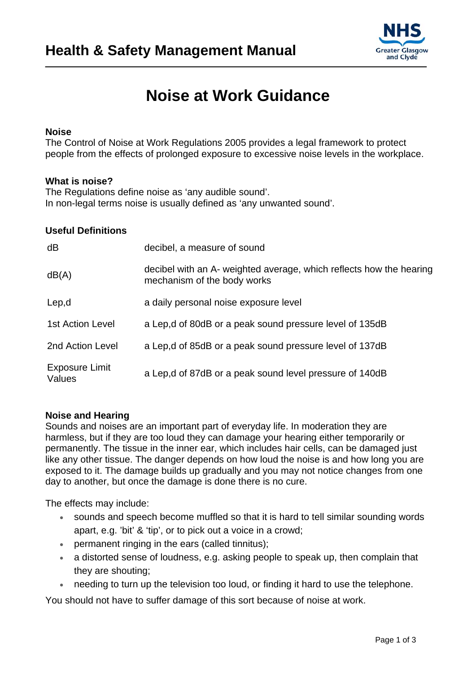

# **Noise at Work Guidance**

## **Noise**

The Control of Noise at Work Regulations 2005 provides a legal framework to protect people from the effects of prolonged exposure to excessive noise levels in the workplace.

#### **What is noise?**

The Regulations define noise as 'any audible sound'. In non-legal terms noise is usually defined as 'any unwanted sound'.

#### **Useful Definitions**

| dB                       | decibel, a measure of sound                                                                        |
|--------------------------|----------------------------------------------------------------------------------------------------|
| dB(A)                    | decibel with an A- weighted average, which reflects how the hearing<br>mechanism of the body works |
| Lep,d                    | a daily personal noise exposure level                                                              |
| <b>1st Action Level</b>  | a Lep,d of 80dB or a peak sound pressure level of 135dB                                            |
| 2nd Action Level         | a Lep, d of 85dB or a peak sound pressure level of 137dB                                           |
| Exposure Limit<br>Values | a Lep, d of 87dB or a peak sound level pressure of 140dB                                           |

## **Noise and Hearing**

Sounds and noises are an important part of everyday life. In moderation they are harmless, but if they are too loud they can damage your hearing either temporarily or permanently. The tissue in the inner ear, which includes hair cells, can be damaged just like any other tissue. The danger depends on how loud the noise is and how long you are exposed to it. The damage builds up gradually and you may not notice changes from one day to another, but once the damage is done there is no cure.

The effects may include:

- sounds and speech become muffled so that it is hard to tell similar sounding words apart, e.g. 'bit' & 'tip', or to pick out a voice in a crowd;
- permanent ringing in the ears (called tinnitus);
- a distorted sense of loudness, e.g. asking people to speak up, then complain that they are shouting;
- needing to turn up the television too loud, or finding it hard to use the telephone.

You should not have to suffer damage of this sort because of noise at work.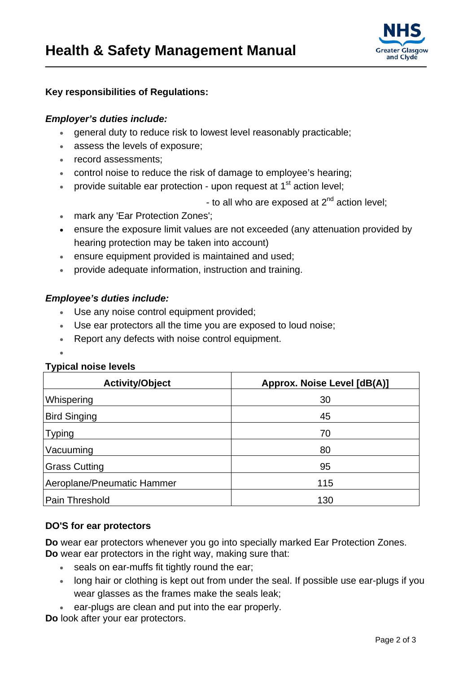

## **Key responsibilities of Regulations:**

## *Employer's duties include:*

- general duty to reduce risk to lowest level reasonably practicable;
- assess the levels of exposure;
- record assessments:
- control noise to reduce the risk of damage to employee's hearing;
- provide suitable ear protection upon request at  $1<sup>st</sup>$  action level:

- to all who are exposed at  $2^{nd}$  action level;

- mark any 'Ear Protection Zones';
- ensure the exposure limit values are not exceeded (any attenuation provided by hearing protection may be taken into account)
- ensure equipment provided is maintained and used;
- provide adequate information, instruction and training.

## *Employee's duties include:*

- Use any noise control equipment provided;
- Use ear protectors all the time you are exposed to loud noise;
- Report any defects with noise control equipment.
- $\bullet$

## **Typical noise levels**

| <b>Activity/Object</b>     | Approx. Noise Level [dB(A)] |
|----------------------------|-----------------------------|
| Whispering                 | 30                          |
| <b>Bird Singing</b>        | 45                          |
| <b>Typing</b>              | 70                          |
| Vacuuming                  | 80                          |
| <b>Grass Cutting</b>       | 95                          |
| Aeroplane/Pneumatic Hammer | 115                         |
| Pain Threshold             | 130                         |

## **DO'S for ear protectors**

**Do** wear ear protectors whenever you go into specially marked Ear Protection Zones. **Do** wear ear protectors in the right way, making sure that:

- seals on ear-muffs fit tightly round the ear;
- long hair or clothing is kept out from under the seal. If possible use ear-plugs if you wear glasses as the frames make the seals leak;
- ear-plugs are clean and put into the ear properly.

**Do** look after your ear protectors.